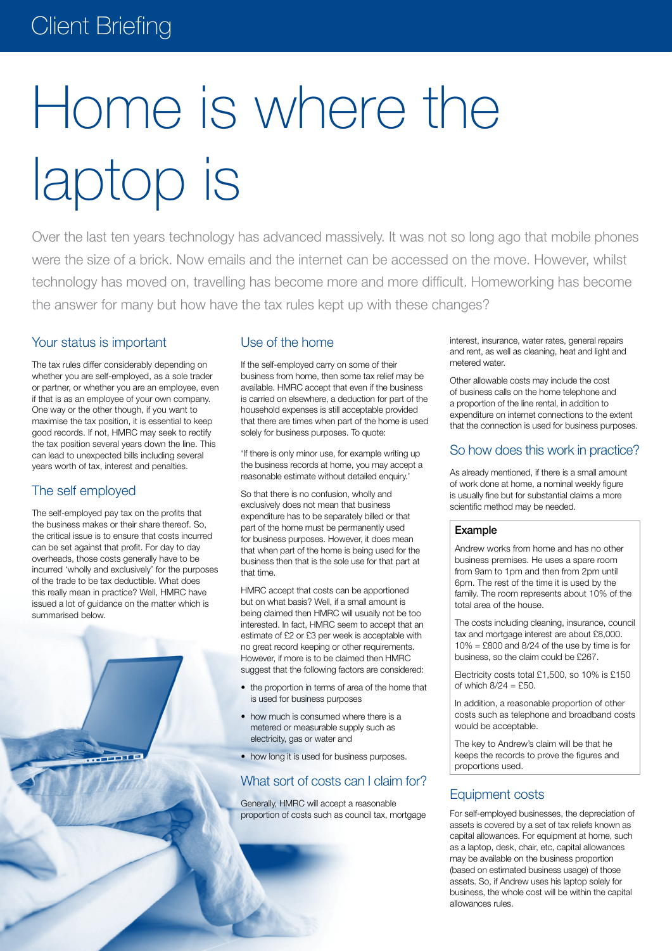# Client Briefing

# Home is where the laptop is

Over the last ten years technology has advanced massively. It was not so long ago that mobile phones were the size of a brick. Now emails and the internet can be accessed on the move. However, whilst technology has moved on, travelling has become more and more difficult. Homeworking has become the answer for many but how have the tax rules kept up with these changes?

#### Your status is important

The tax rules differ considerably depending on whether you are self-employed, as a sole trader or partner, or whether you are an employee, even if that is as an employee of your own company. One way or the other though, if you want to maximise the tax position, it is essential to keep good records. If not, HMRC may seek to rectify the tax position several years down the line. This can lead to unexpected bills including several years worth of tax, interest and penalties.

## The self employed

The self-employed pay tax on the profits that the business makes or their share thereof. So, the critical issue is to ensure that costs incurred can be set against that profit. For day to day overheads, those costs generally have to be incurred 'wholly and exclusively' for the purposes of the trade to be tax deductible. What does this really mean in practice? Well, HMRC have issued a lot of guidance on the matter which is summarised below.

 $\overline{1}$ 

#### Use of the home

If the self-employed carry on some of their business from home, then some tax relief may be available. HMRC accept that even if the business is carried on elsewhere, a deduction for part of the household expenses is still acceptable provided that there are times when part of the home is used solely for business purposes. To quote:

'If there is only minor use, for example writing up the business records at home, you may accept a reasonable estimate without detailed enquiry.'

So that there is no confusion, wholly and exclusively does not mean that business expenditure has to be separately billed or that part of the home must be permanently used for business purposes. However, it does mean that when part of the home is being used for the business then that is the sole use for that part at that time.

HMRC accept that costs can be apportioned but on what basis? Well, if a small amount is being claimed then HMRC will usually not be too interested. In fact, HMRC seem to accept that an estimate of £2 or £3 per week is acceptable with no great record keeping or other requirements. However, if more is to be claimed then HMRC suggest that the following factors are considered:

- the proportion in terms of area of the home that is used for business purposes
- how much is consumed where there is a metered or measurable supply such as electricity, gas or water and
- how long it is used for business purposes.

## What sort of costs can I claim for?

Generally, HMRC will accept a reasonable proportion of costs such as council tax, mortgage interest, insurance, water rates, general repairs and rent, as well as cleaning, heat and light and metered water.

Other allowable costs may include the cost of business calls on the home telephone and a proportion of the line rental, in addition to expenditure on internet connections to the extent that the connection is used for business purposes.

#### So how does this work in practice?

As already mentioned, if there is a small amount of work done at home, a nominal weekly figure is usually fine but for substantial claims a more scientific method may be needed.

#### Example

Andrew works from home and has no other business premises. He uses a spare room from 9am to 1pm and then from 2pm until 6pm. The rest of the time it is used by the family. The room represents about 10% of the total area of the house.

The costs including cleaning, insurance, council tax and mortgage interest are about £8,000.  $10\% =$  £800 and 8/24 of the use by time is for business, so the claim could be £267.

Electricity costs total £1,500, so 10% is £150 of which  $8/24 = £50$ .

In addition, a reasonable proportion of other costs such as telephone and broadband costs would be acceptable.

The key to Andrew's claim will be that he keeps the records to prove the figures and proportions used.

## Equipment costs

For self-employed businesses, the depreciation of assets is covered by a set of tax reliefs known as capital allowances. For equipment at home, such as a laptop, desk, chair, etc, capital allowances may be available on the business proportion (based on estimated business usage) of those assets. So, if Andrew uses his laptop solely for business, the whole cost will be within the capital allowances rules.